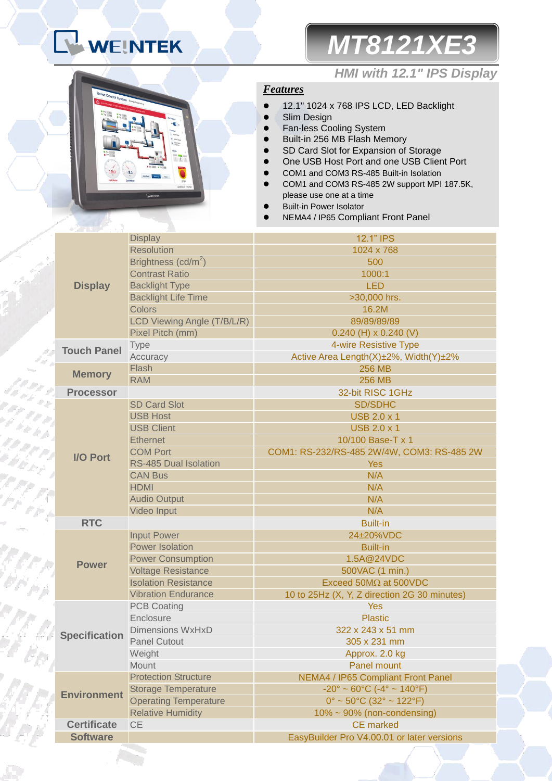# **LA WEINTEK | MT8121XE3**

### *HMI with 12.1" IPS Display*

### *Features*

- <sup>12.1"</sup> 1024 x 768 IPS LCD, LED Backlight
- Slim Design
- **•** Fan-less Cooling System
- Built-in 256 MB Flash Memory
- SD Card Slot for Expansion of Storage
- One USB Host Port and one USB Client Port
- COM1 and COM3 RS-485 Built-in Isolation
- COM1 and COM3 RS-485 2W support MPI 187.5K, please use one at a time
- Built-in Power Isolator
- NEMA4 / IP65 Compliant Front Panel

|                      | <b>Display</b>                  | 12.1" IPS                                                          |  |
|----------------------|---------------------------------|--------------------------------------------------------------------|--|
|                      | <b>Resolution</b>               | 1024 x 768                                                         |  |
|                      | Brightness (cd/m <sup>2</sup> ) | 500                                                                |  |
|                      | <b>Contrast Ratio</b>           | 1000:1                                                             |  |
| <b>Display</b>       | <b>Backlight Type</b>           | <b>LED</b>                                                         |  |
|                      | <b>Backlight Life Time</b>      | >30,000 hrs.                                                       |  |
|                      | <b>Colors</b>                   | 16.2M                                                              |  |
|                      | LCD Viewing Angle (T/B/L/R)     | 89/89/89/89                                                        |  |
|                      | Pixel Pitch (mm)                | $0.240$ (H) x 0.240 (V)                                            |  |
| <b>Touch Panel</b>   | Type                            | 4-wire Resistive Type                                              |  |
|                      | Accuracy                        | Active Area Length(X)±2%, Width(Y)±2%                              |  |
| <b>Memory</b>        | Flash                           | <b>256 MB</b>                                                      |  |
|                      | <b>RAM</b>                      | <b>256 MB</b>                                                      |  |
| <b>Processor</b>     |                                 | 32-bit RISC 1GHz                                                   |  |
|                      | <b>SD Card Slot</b>             | <b>SD/SDHC</b>                                                     |  |
|                      | <b>USB Host</b>                 | <b>USB 2.0 x 1</b>                                                 |  |
|                      | <b>USB Client</b>               | <b>USB 2.0 x 1</b>                                                 |  |
|                      | <b>Ethernet</b>                 | 10/100 Base-T x 1                                                  |  |
|                      | <b>COM Port</b>                 | COM1: RS-232/RS-485 2W/4W, COM3: RS-485 2W                         |  |
| <b>I/O Port</b>      | <b>RS-485 Dual Isolation</b>    | <b>Yes</b>                                                         |  |
|                      | <b>CAN Bus</b>                  | N/A                                                                |  |
|                      | <b>HDMI</b>                     | N/A                                                                |  |
|                      | <b>Audio Output</b>             | N/A                                                                |  |
|                      | Video Input                     | N/A                                                                |  |
| <b>RTC</b>           |                                 | <b>Built-in</b>                                                    |  |
|                      | <b>Input Power</b>              | 24±20%VDC                                                          |  |
|                      | <b>Power Isolation</b>          | <b>Built-in</b>                                                    |  |
|                      | <b>Power Consumption</b>        | 1.5A@24VDC                                                         |  |
| <b>Power</b>         | <b>Voltage Resistance</b>       | 500VAC (1 min.)                                                    |  |
|                      | <b>Isolation Resistance</b>     | Exceed 50M $\Omega$ at 500VDC                                      |  |
|                      | <b>Vibration Endurance</b>      | 10 to 25Hz (X, Y, Z direction 2G 30 minutes)                       |  |
|                      | <b>PCB Coating</b>              | <b>Yes</b>                                                         |  |
|                      | Enclosure                       | <b>Plastic</b>                                                     |  |
| <b>Specification</b> | <b>Dimensions WxHxD</b>         | 322 x 243 x 51 mm                                                  |  |
|                      | <b>Panel Cutout</b>             | 305 x 231 mm                                                       |  |
|                      | Weight                          | Approx. 2.0 kg                                                     |  |
|                      | Mount                           | <b>Panel mount</b>                                                 |  |
|                      | <b>Protection Structure</b>     | NEMA4 / IP65 Compliant Front Panel                                 |  |
| <b>Environment</b>   | <b>Storage Temperature</b>      | $-20^{\circ} \sim 60^{\circ}$ C ( $-4^{\circ} \sim 140^{\circ}$ F) |  |
|                      | <b>Operating Temperature</b>    | $0^{\circ}$ ~ 50°C (32° ~ 122°F)                                   |  |
|                      | <b>Relative Humidity</b>        | $10\% \sim 90\%$ (non-condensing)                                  |  |
| <b>Certificate</b>   | <b>CE</b>                       | <b>CE</b> marked                                                   |  |
| <b>Software</b>      |                                 | EasyBuilder Pro V4.00.01 or later versions                         |  |